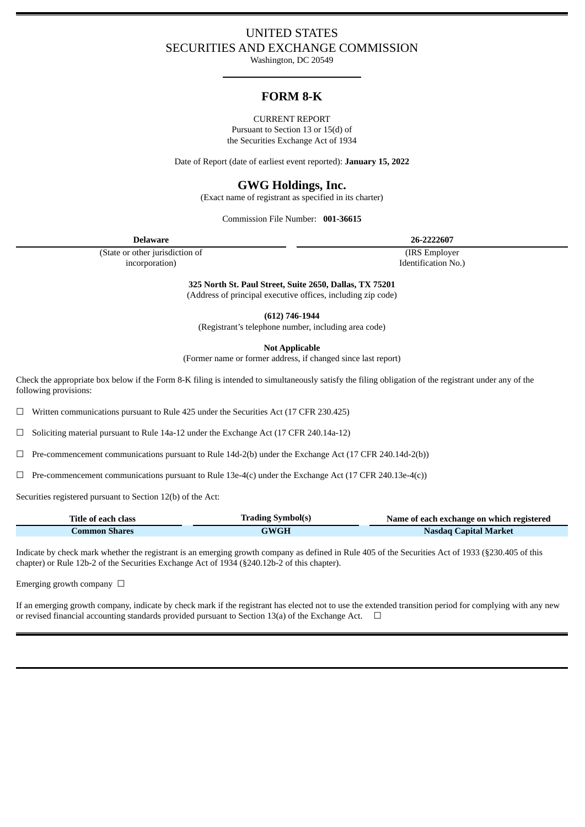## UNITED STATES SECURITIES AND EXCHANGE COMMISSION

Washington, DC 20549

# **FORM 8-K**

CURRENT REPORT Pursuant to Section 13 or 15(d) of

the Securities Exchange Act of 1934

Date of Report (date of earliest event reported): **January 15, 2022**

# **GWG Holdings, Inc.**

(Exact name of registrant as specified in its charter)

Commission File Number: **001-36615**

**Delaware 26-2222607**

(State or other jurisdiction of incorporation)

(IRS Employer

Identification No.)

**325 North St. Paul Street, Suite 2650, Dallas, TX 75201** (Address of principal executive offices, including zip code)

**(612) 746-1944**

(Registrant's telephone number, including area code)

**Not Applicable**

(Former name or former address, if changed since last report)

Check the appropriate box below if the Form 8-K filing is intended to simultaneously satisfy the filing obligation of the registrant under any of the following provisions:

 $\Box$  Written communications pursuant to Rule 425 under the Securities Act (17 CFR 230.425)

 $\Box$  Soliciting material pursuant to Rule 14a-12 under the Exchange Act (17 CFR 240.14a-12)

 $\Box$  Pre-commencement communications pursuant to Rule 14d-2(b) under the Exchange Act (17 CFR 240.14d-2(b))

 $\Box$  Pre-commencement communications pursuant to Rule 13e-4(c) under the Exchange Act (17 CFR 240.13e-4(c))

Securities registered pursuant to Section 12(b) of the Act:

| Title of each class | <b>Trading Symbol(s)</b> | Name of each exchange on which registered |
|---------------------|--------------------------|-------------------------------------------|
| Common Shares       | GWGH                     | <b>Nasdaq Capital Market</b>              |

Indicate by check mark whether the registrant is an emerging growth company as defined in Rule 405 of the Securities Act of 1933 (§230.405 of this chapter) or Rule 12b-2 of the Securities Exchange Act of 1934 (§240.12b-2 of this chapter).

Emerging growth company  $\Box$ 

If an emerging growth company, indicate by check mark if the registrant has elected not to use the extended transition period for complying with any new or revised financial accounting standards provided pursuant to Section 13(a) of the Exchange Act.  $\Box$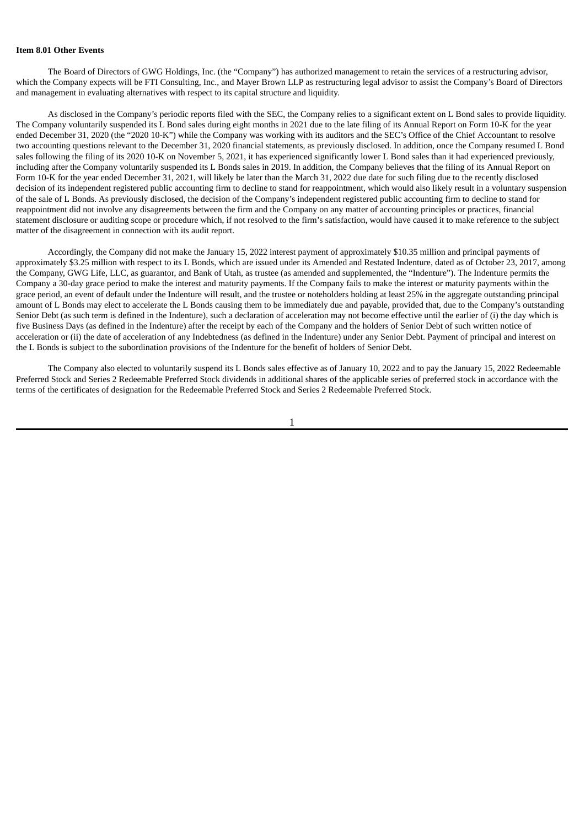#### **Item 8.01 Other Events**

The Board of Directors of GWG Holdings, Inc. (the "Company") has authorized management to retain the services of a restructuring advisor, which the Company expects will be FTI Consulting, Inc., and Mayer Brown LLP as restructuring legal advisor to assist the Company's Board of Directors and management in evaluating alternatives with respect to its capital structure and liquidity.

As disclosed in the Company's periodic reports filed with the SEC, the Company relies to a significant extent on L Bond sales to provide liquidity. The Company voluntarily suspended its L Bond sales during eight months in 2021 due to the late filing of its Annual Report on Form 10-K for the year ended December 31, 2020 (the "2020 10-K") while the Company was working with its auditors and the SEC's Office of the Chief Accountant to resolve two accounting questions relevant to the December 31, 2020 financial statements, as previously disclosed. In addition, once the Company resumed L Bond sales following the filing of its 2020 10-K on November 5, 2021, it has experienced significantly lower L Bond sales than it had experienced previously, including after the Company voluntarily suspended its L Bonds sales in 2019. In addition, the Company believes that the filing of its Annual Report on Form 10-K for the year ended December 31, 2021, will likely be later than the March 31, 2022 due date for such filing due to the recently disclosed decision of its independent registered public accounting firm to decline to stand for reappointment, which would also likely result in a voluntary suspension of the sale of L Bonds. As previously disclosed, the decision of the Company's independent registered public accounting firm to decline to stand for reappointment did not involve any disagreements between the firm and the Company on any matter of accounting principles or practices, financial statement disclosure or auditing scope or procedure which, if not resolved to the firm's satisfaction, would have caused it to make reference to the subject matter of the disagreement in connection with its audit report.

Accordingly, the Company did not make the January 15, 2022 interest payment of approximately \$10.35 million and principal payments of approximately \$3.25 million with respect to its L Bonds, which are issued under its Amended and Restated Indenture, dated as of October 23, 2017, among the Company, GWG Life, LLC, as guarantor, and Bank of Utah, as trustee (as amended and supplemented, the "Indenture"). The Indenture permits the Company a 30-day grace period to make the interest and maturity payments. If the Company fails to make the interest or maturity payments within the grace period, an event of default under the Indenture will result, and the trustee or noteholders holding at least 25% in the aggregate outstanding principal amount of L Bonds may elect to accelerate the L Bonds causing them to be immediately due and payable, provided that, due to the Company's outstanding Senior Debt (as such term is defined in the Indenture), such a declaration of acceleration may not become effective until the earlier of (i) the day which is five Business Days (as defined in the Indenture) after the receipt by each of the Company and the holders of Senior Debt of such written notice of acceleration or (ii) the date of acceleration of any Indebtedness (as defined in the Indenture) under any Senior Debt. Payment of principal and interest on the L Bonds is subject to the subordination provisions of the Indenture for the benefit of holders of Senior Debt.

The Company also elected to voluntarily suspend its L Bonds sales effective as of January 10, 2022 and to pay the January 15, 2022 Redeemable Preferred Stock and Series 2 Redeemable Preferred Stock dividends in additional shares of the applicable series of preferred stock in accordance with the terms of the certificates of designation for the Redeemable Preferred Stock and Series 2 Redeemable Preferred Stock.

1